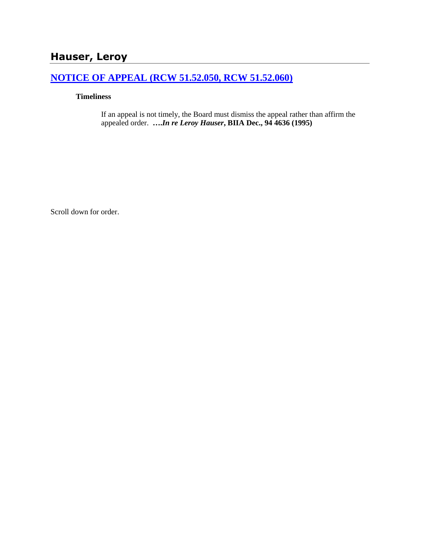# **Hauser, Leroy**

# **[NOTICE OF APPEAL \(RCW 51.52.050, RCW 51.52.060\)](http://www.biia.wa.gov/SDSubjectIndex.html#NOTICE_OF_APPEAL)**

# **Timeliness**

If an appeal is not timely, the Board must dismiss the appeal rather than affirm the appealed order. **….***In re Leroy Hauser***, BIIA Dec., 94 4636 (1995)** 

Scroll down for order.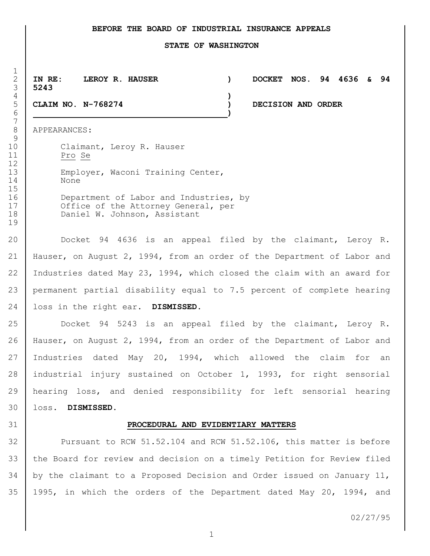### **BEFORE THE BOARD OF INDUSTRIAL INSURANCE APPEALS**

#### **STATE OF WASHINGTON**

 **IN RE: LEROY R. HAUSER ) DOCKET NOS. 94 4636 & 94 5243**

**)**

**)**

**CLAIM NO. N-768274 ) DECISION AND ORDER**

APPEARANCES:

 $\frac{1}{2}$ 

10 Claimant, Leroy R. Hauser Pro Se 13 Employer, Waconi Training Center, None 16 Department of Labor and Industries, by 17 Office of the Attorney General, per 18 Daniel W. Johnson, Assistant

 Docket 94 4636 is an appeal filed by the claimant, Leroy R. Hauser, on August 2, 1994, from an order of the Department of Labor and Industries dated May 23, 1994, which closed the claim with an award for permanent partial disability equal to 7.5 percent of complete hearing loss in the right ear. **DISMISSED.**

 Docket 94 5243 is an appeal filed by the claimant, Leroy R. Hauser, on August 2, 1994, from an order of the Department of Labor and Industries dated May 20, 1994, which allowed the claim for an industrial injury sustained on October 1, 1993, for right sensorial hearing loss, and denied responsibility for left sensorial hearing loss. **DISMISSED.**

### **PROCEDURAL AND EVIDENTIARY MATTERS**

 Pursuant to RCW 51.52.104 and RCW 51.52.106, this matter is before the Board for review and decision on a timely Petition for Review filed by the claimant to a Proposed Decision and Order issued on January 11, 1995, in which the orders of the Department dated May 20, 1994, and

02/27/95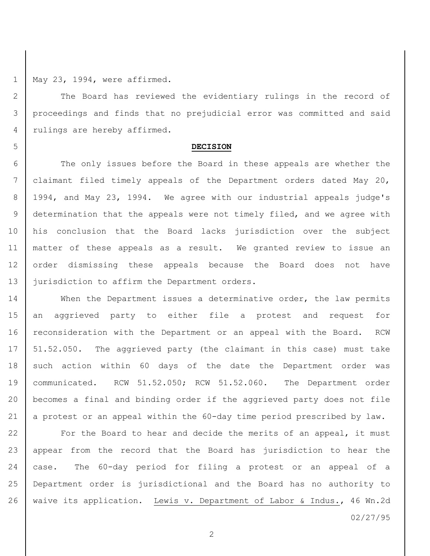May 23, 1994, were affirmed.

2 The Board has reviewed the evidentiary rulings in the record of proceedings and finds that no prejudicial error was committed and said 4 | rulings are hereby affirmed.

### **DECISION**

6 The only issues before the Board in these appeals are whether the claimant filed timely appeals of the Department orders dated May 20, 1994, and May 23, 1994. We agree with our industrial appeals judge's determination that the appeals were not timely filed, and we agree with his conclusion that the Board lacks jurisdiction over the subject matter of these appeals as a result. We granted review to issue an 12 order dismissing these appeals because the Board does not have 13 | jurisdiction to affirm the Department orders.

14 When the Department issues a determinative order, the law permits an aggrieved party to either file a protest and request for 16 reconsideration with the Department or an appeal with the Board. RCW 17 | 51.52.050. The aggrieved party (the claimant in this case) must take 18 such action within 60 days of the date the Department order was communicated. RCW 51.52.050; RCW 51.52.060. The Department order becomes a final and binding order if the aggrieved party does not file 21  $\vert$  a protest or an appeal within the 60-day time period prescribed by law.

**For the Board to hear and decide the merits of an appeal, it must**  appear from the record that the Board has jurisdiction to hear the case. The 60-day period for filing a protest or an appeal of a Department order is jurisdictional and the Board has no authority to waive its application. Lewis v. Department of Labor & Indus., 46 Wn.2d

02/27/95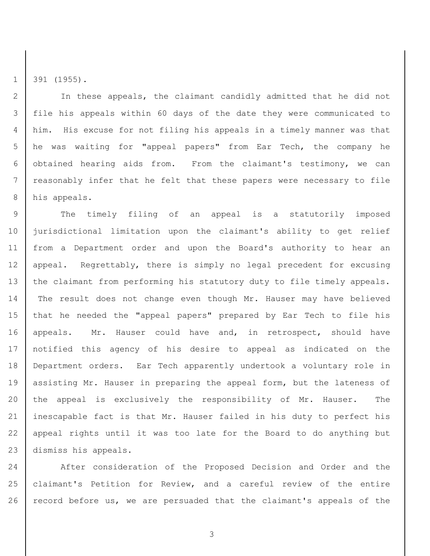391 (1955).

 In these appeals, the claimant candidly admitted that he did not file his appeals within 60 days of the date they were communicated to him. His excuse for not filing his appeals in a timely manner was that he was waiting for "appeal papers" from Ear Tech, the company he obtained hearing aids from. From the claimant's testimony, we can reasonably infer that he felt that these papers were necessary to file his appeals.

9 | The timely filing of an appeal is a statutorily imposed jurisdictional limitation upon the claimant's ability to get relief from a Department order and upon the Board's authority to hear an appeal. Regrettably, there is simply no legal precedent for excusing 13 | the claimant from performing his statutory duty to file timely appeals. The result does not change even though Mr. Hauser may have believed that he needed the "appeal papers" prepared by Ear Tech to file his 16 appeals. Mr. Hauser could have and, in retrospect, should have notified this agency of his desire to appeal as indicated on the Department orders. Ear Tech apparently undertook a voluntary role in 19 | assisting Mr. Hauser in preparing the appeal form, but the lateness of the appeal is exclusively the responsibility of Mr. Hauser. The inescapable fact is that Mr. Hauser failed in his duty to perfect his appeal rights until it was too late for the Board to do anything but dismiss his appeals.

24 After consideration of the Proposed Decision and Order and the claimant's Petition for Review, and a careful review of the entire 26 record before us, we are persuaded that the claimant's appeals of the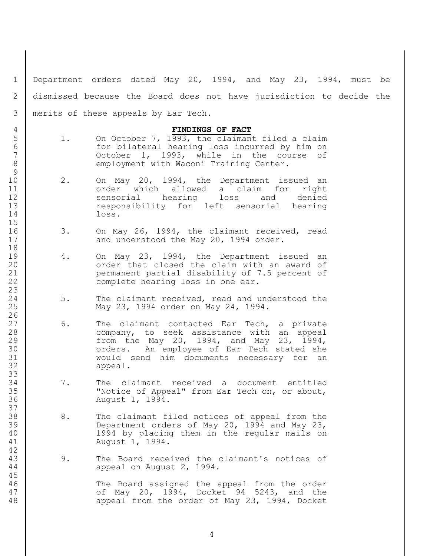Department orders dated May 20, 1994, and May 23, 1994, must be dismissed because the Board does not have jurisdiction to decide the merits of these appeals by Ear Tech.

## **FINDINGS OF FACT**

- 5 1. On October 7, 1993, the claimant filed a claim 6 for bilateral hearing loss incurred by him on<br>7 0ctober 1, 1993, while in the course of October 1, 1993, while in the course of 8 employment with Waconi Training Center.
- 10 | 2. On May 20, 1994, the Department issued an 11 order which allowed a claim for right 12 Sensorial hearing loss and denied 13 cesponsibility for left sensorial hearing loss.
- 3. On May 26, 1994, the claimant received, read 17 and understood the May 20, 1994 order.
- 19 4. On May 23, 1994, the Department issued an **canabilary** order that closed the claim with an award of permanent partial disability of 7.5 percent of **complete hearing loss in one ear.**
- 24 5. The claimant received, read and understood the May 23, 1994 order on May 24, 1994.
- 27 | 6. The claimant contacted Ear Tech, a private company, to seek assistance with an appeal from the May 20, 1994, and May 23, 1994, 30 | crders. An employee of Ear Tech stated she would send him documents necessary for an appeal.
- 7. The claimant received a document entitled "Notice of Appeal" from Ear Tech on, or about, August 1, 1994.
- 38 8. The claimant filed notices of appeal from the Department orders of May 20, 1994 and May 23, 1994 by placing them in the regular mails on August 1, 1994.
- 9. The Board received the claimant's notices of appeal on August 2, 1994.

 The Board assigned the appeal from the order 47 | Cf May 20, 1994, Docket 94 5243, and the 48 appeal from the order of May 23, 1994, Docket